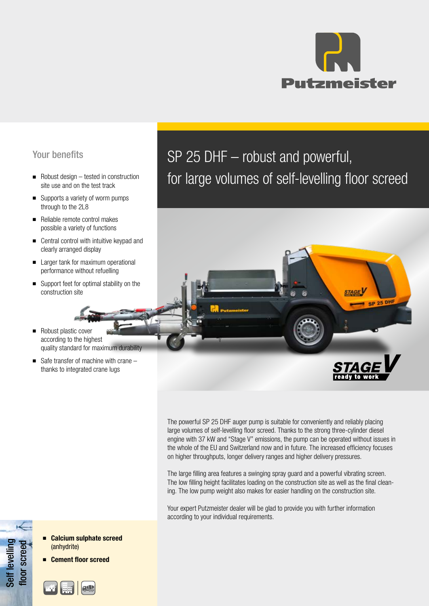

## Your benefits

- Robust design tested in construction site use and on the test track
- Supports a variety of worm pumps through to the 2L8
- Reliable remote control makes possible a variety of functions
- Central control with intuitive keypad and clearly arranged display
- Larger tank for maximum operational performance without refuelling
- Support feet for optimal stability on the construction site
- Robust plastic cover according to the highest quality standard for maximum durability
- Safe transfer of machine with crane thanks to integrated crane lugs

SP 25 DHF – robust and powerful, for large volumes of self-levelling floor screed



The powerful SP 25 DHF auger pump is suitable for conveniently and reliably placing large volumes of self-levelling floor screed. Thanks to the strong three-cylinder diesel engine with 37 kW and "Stage V" emissions, the pump can be operated without issues in the whole of the EU and Switzerland now and in future. The increased efficiency focuses on higher throughputs, longer delivery ranges and higher delivery pressures.

The large filling area features a swinging spray guard and a powerful vibrating screen. The low filling height facilitates loading on the construction site as well as the final cleaning. The low pump weight also makes for easier handling on the construction site.

Your expert Putzmeister dealer will be glad to provide you with further information according to your individual requirements.

- Self levelling Self levelling<br>floor screed floor screed
- Calcium sulphate screed (anhydrite)
- **Cement floor screed**